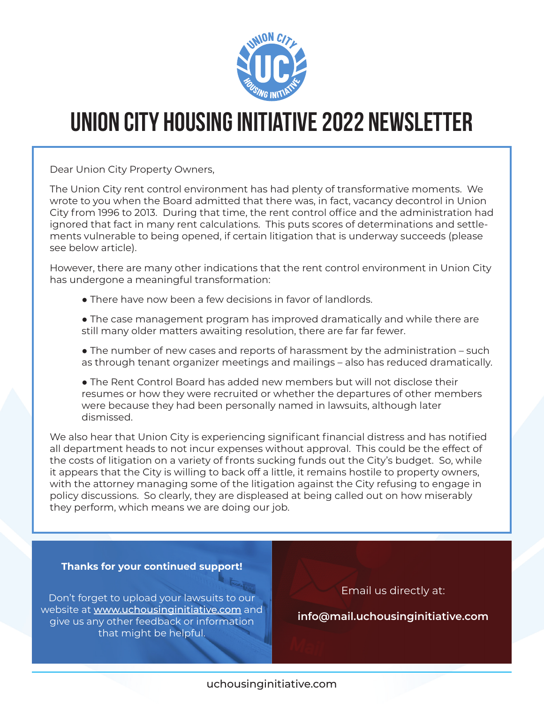

# **Union City Housing Initiative 2022 Newsletter**

Dear Union City Property Owners,

The Union City rent control environment has had plenty of transformative moments. We wrote to you when the Board admitted that there was, in fact, vacancy decontrol in Union City from 1996 to 2013. During that time, the rent control office and the administration had ignored that fact in many rent calculations. This puts scores of determinations and settlements vulnerable to being opened, if certain litigation that is underway succeeds (please see below article).

However, there are many other indications that the rent control environment in Union City has undergone a meaningful transformation:

- **●** There have now been a few decisions in favor of landlords.
- **●** The case management program has improved dramatically and while there are still many older matters awaiting resolution, there are far far fewer.
- **●** The number of new cases and reports of harassment by the administration such as through tenant organizer meetings and mailings – also has reduced dramatically.
- **●** The Rent Control Board has added new members but will not disclose their resumes or how they were recruited or whether the departures of other members were because they had been personally named in lawsuits, although later dismissed.

We also hear that Union City is experiencing significant financial distress and has notified all department heads to not incur expenses without approval. This could be the effect of the costs of litigation on a variety of fronts sucking funds out the City's budget. So, while it appears that the City is willing to back off a little, it remains hostile to property owners, with the attorney managing some of the litigation against the City refusing to engage in policy discussions. So clearly, they are displeased at being called out on how miserably they perform, which means we are doing our job.

## **Thanks for your continued support!**

Don't forget to upload your lawsuits to our website at www.uchousinginitiative.com and give us any other feedback or information that might be helpful.

Email us directly at:

 **info@mail.uchousinginitiative.com**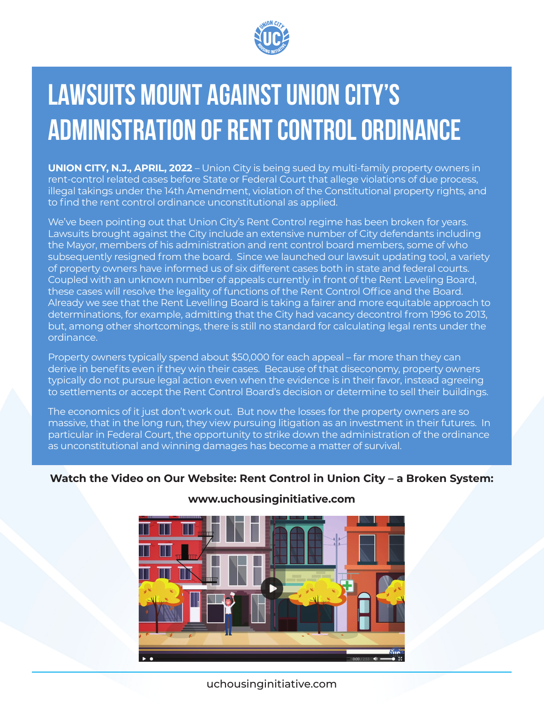

# **LAWSUITS MOUNT AGAINST UNION CITY'S ADMINISTRATION OF RENT CONTROL ORDINANCE**

**UNION CITY, N.J., APRIL, 2022** – Union City is being sued by multi-family property owners in rent-control related cases before State or Federal Court that allege violations of due process, illegal takings under the 14th Amendment, violation of the Constitutional property rights, and to find the rent control ordinance unconstitutional as applied.

We've been pointing out that Union City's Rent Control regime has been broken for years. Lawsuits brought against the City include an extensive number of City defendants including the Mayor, members of his administration and rent control board members, some of who subsequently resigned from the board. Since we launched our lawsuit updating tool, a variety of property owners have informed us of six different cases both in state and federal courts. Coupled with an unknown number of appeals currently in front of the Rent Leveling Board, these cases will resolve the legality of functions of the Rent Control Office and the Board. Already we see that the Rent Levelling Board is taking a fairer and more equitable approach to determinations, for example, admitting that the City had vacancy decontrol from 1996 to 2013, but, among other shortcomings, there is still no standard for calculating legal rents under the ordinance.

Property owners typically spend about \$50,000 for each appeal – far more than they can derive in benefits even if they win their cases. Because of that diseconomy, property owners typically do not pursue legal action even when the evidence is in their favor, instead agreeing to settlements or accept the Rent Control Board's decision or determine to sell their buildings.

The economics of it just don't work out. But now the losses for the property owners are so massive, that in the long run, they view pursuing litigation as an investment in their futures. In particular in Federal Court, the opportunity to strike down the administration of the ordinance as unconstitutional and winning damages has become a matter of survival.

## **Watch the Video on Our Website: Rent Control in Union City – a Broken System:**



# **www.uchousinginitiative.com**

uchousinginitiative.com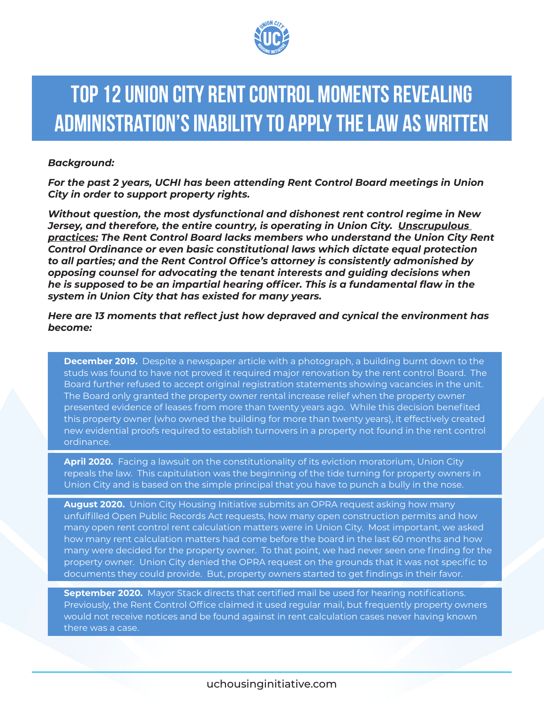

# **TOP 12 UNION CITY RENT CONTROL MOMENTS REVEALING ADMINISTRATION'S INABILITY TO APPLY THE LAW AS WRITTEN**

#### *Background:*

*For the past 2 years, UCHI has been attending Rent Control Board meetings in Union City in order to support property rights.* 

*Without question, the most dysfunctional and dishonest rent control regime in New Jersey, and therefore, the entire country, is operating in Union City. Unscrupulous practices: The Rent Control Board lacks members who understand the Union City Rent Control Ordinance or even basic constitutional laws which dictate equal protection to all parties; and the Rent Control Office's attorney is consistently admonished by opposing counsel for advocating the tenant interests and guiding decisions when he is supposed to be an impartial hearing officer. This is a fundamental flaw in the system in Union City that has existed for many years.* 

#### *Here are 13 moments that reflect just how depraved and cynical the environment has become:*

**December 2019.** Despite a newspaper article with a photograph, a building burnt down to the studs was found to have not proved it required major renovation by the rent control Board. The Board further refused to accept original registration statements showing vacancies in the unit. The Board only granted the property owner rental increase relief when the property owner presented evidence of leases from more than twenty years ago. While this decision benefited this property owner (who owned the building for more than twenty years), it effectively created new evidential proofs required to establish turnovers in a property not found in the rent control ordinance.

**April 2020.** Facing a lawsuit on the constitutionality of its eviction moratorium, Union City repeals the law. This capitulation was the beginning of the tide turning for property owners in Union City and is based on the simple principal that you have to punch a bully in the nose.

**August 2020.** Union City Housing Initiative submits an OPRA request asking how many unfulfilled Open Public Records Act requests, how many open construction permits and how many open rent control rent calculation matters were in Union City. Most important, we asked how many rent calculation matters had come before the board in the last 60 months and how many were decided for the property owner. To that point, we had never seen one finding for the property owner. Union City denied the OPRA request on the grounds that it was not specific to documents they could provide. But, property owners started to get findings in their favor.

**September 2020.** Mayor Stack directs that certified mail be used for hearing notifications. Previously, the Rent Control Office claimed it used regular mail, but frequently property owners would not receive notices and be found against in rent calculation cases never having known there was a case.